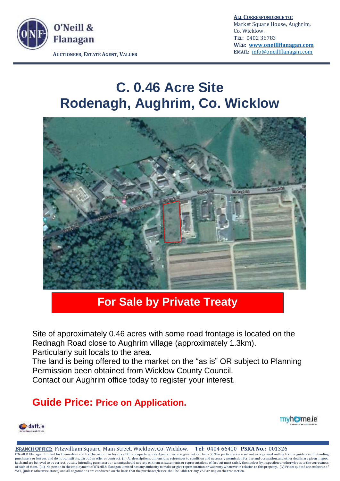

**ALL CORRESPONDENCE TO:** Market Square House, Aughrim, Co. Wicklow. **TEL**: 0402 36783 **WEB: [www.oneillflanagan.com](http://www.oneillflanagan.com/) EMAIL:** [info@oneillflanagan.com](mailto:info@oneillflanagan.com) 

## **C. 0.46 Acre Site Rodenagh, Aughrim, Co. Wicklow**



## **For Sale by Private Treaty**

Site of approximately 0.46 acres with some road frontage is located on the Rednagh Road close to Aughrim village (approximately 1.3km).

Particularly suit locals to the area.

The land is being offered to the market on the "as is" OR subject to Planning Permission been obtained from Wicklow County Council.

Contact our Aughrim office today to register your interest.

## **Guide Price: Price on Application.**





**BRANCH OFFICE:** Fitzwilliam Square, Main Street, Wicklow, Co. Wicklow. **Tel**: 0404 66410 **PSRA No.:** 001326  $\overline{O}$ Neill & Flanagan Limited for themselves and for the vendor or lessors of this property whose Agents they are, give notice that:- (i) The particulars are set out as a general outline for the guidance of intending purchasers or lessees, and do not constitute, part of, an offer or contract. (ii) All descriptions, dimensions, references to condition and necessary permission for use and occupation, and other details are given in good faith and are believed to be correct, but any intending purchasers or tenants should not rely on them as statements or representations of fact but must satisfy themselves by inspection or otherwise as to the correctness<br>of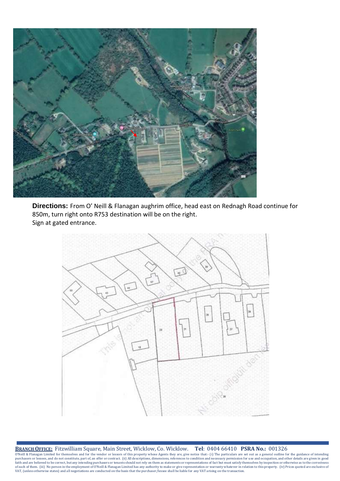

**Directions:** From O' Neill & Flanagan aughrim office, head east on Rednagh Road continue for 850m, turn right onto R753 destination will be on the right. Sign at gated entrance.



**BRANCH OFFICE:** Fitzwilliam Square, Main Street, Wicklow, Co. Wicklow. **Tel**: 0404 66410 **PSRA No.:** 001326  $\overline{O'}$ Neill & Flanagan Limited for themselves and for the vendor or lessors of this property whose Agents they are, give notice that:- (i) The particulars are set out as a general outline for the guidance of intending purchasers or lessees, and do not constitute, part of, an offer or contract. (ii) All descriptions, dimensions, references to condition and necessary permission for use and occupation, and other details are given in good faith and are believed to be correct, but any intending purchasers or tenants should not rely on them as statements or representations of fact but must satisfy themselves by inspection or otherwise as to the correctness<br>of